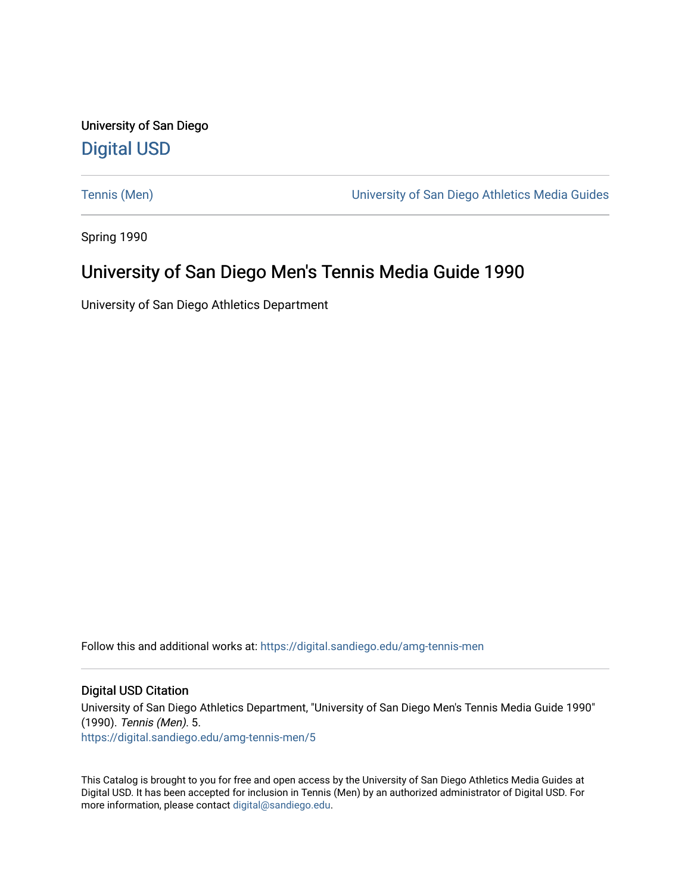University of San Diego [Digital USD](https://digital.sandiego.edu/)

[Tennis \(Men\)](https://digital.sandiego.edu/amg-tennis-men) [University of San Diego Athletics Media Guides](https://digital.sandiego.edu/amg) 

Spring 1990

# University of San Diego Men's Tennis Media Guide 1990

University of San Diego Athletics Department

Follow this and additional works at: [https://digital.sandiego.edu/amg-tennis-men](https://digital.sandiego.edu/amg-tennis-men?utm_source=digital.sandiego.edu%2Famg-tennis-men%2F5&utm_medium=PDF&utm_campaign=PDFCoverPages)

### Digital USD Citation

University of San Diego Athletics Department, "University of San Diego Men's Tennis Media Guide 1990" (1990). Tennis (Men). 5. [https://digital.sandiego.edu/amg-tennis-men/5](https://digital.sandiego.edu/amg-tennis-men/5?utm_source=digital.sandiego.edu%2Famg-tennis-men%2F5&utm_medium=PDF&utm_campaign=PDFCoverPages) 

This Catalog is brought to you for free and open access by the University of San Diego Athletics Media Guides at Digital USD. It has been accepted for inclusion in Tennis (Men) by an authorized administrator of Digital USD. For more information, please contact [digital@sandiego.edu.](mailto:digital@sandiego.edu)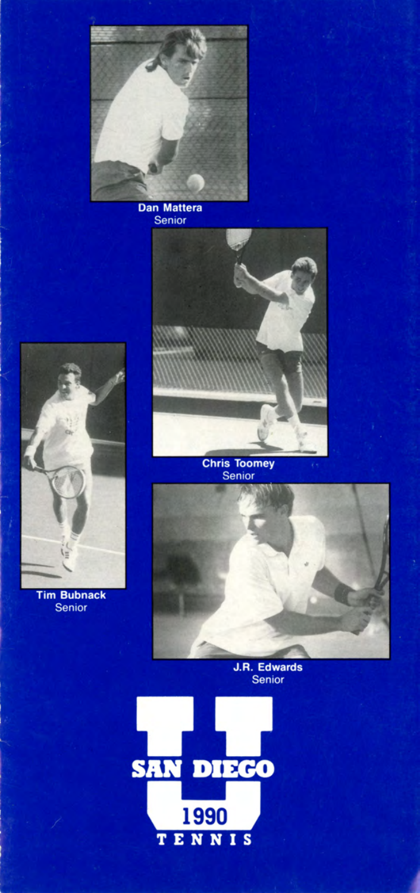

**Dan Mattera** Senior



**Tim Bubnack** Senior



Senior



J.R. Edwards<br>Senior

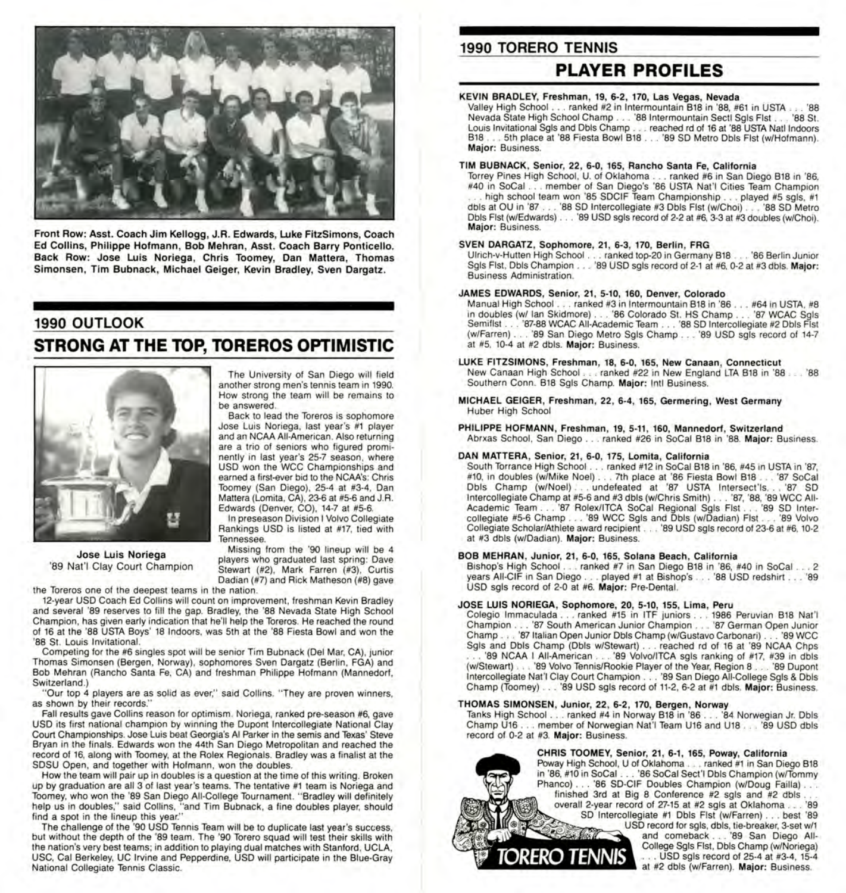

Front Row: Asst. Coach Jim Kellogg, J.R. Edwards, Luke FitzSimons, Coach Ed Collins, Philippe Hofmann, Bob Mehran, Asst. Coach Barry Ponticello. Back Row: Jose Luis Noriega, Chris Toomey, Dan Mattera, Thomas Simonsen, Tim Bubnack, Michael Geiger, Kevin Bradley, Sven Dargatz.

#### **1990 OUTLOOK**

### STRONG AT THE TOP, TOREROS OPTIMISTIC



**Jose Luis Noriega**  '89 Nat'I Clay Court Champion

the Toreros one of the deepest teams in the nation .

12-year USD Coach Ed Collins will count on improvement, freshman Kevin Bradley and several '89 reserves to fill the gap. Bradley, the '88 Nevada State High School Champion, has given early indication that he'll help the Toreros. He reached the round of 16 at the '88 USTA Boys' 18 Indoors, was 5th at the '88 Fiesta Bowl and won the '88 St. Louis Invitational.

Competing for the #6 singles spot will be senior Tim Bubnack (Del Mar, CA), junior Thomas Simonsen (Bergen, Norway), sophomores Sven Dargatz (Berlin, FGA) and Bob Mehran (Rancho Santa Fe, CA) and freshman Philippe Hofmann (Mannedorf, Switzerland.)

"Our top 4 players are as solid as ever," said Collins. "They are proven winners, as shown by their records."

Fall results gave Collins reason for optimism. Noriega, ranked pre-season #6, gave USD its first national champion by winning the Dupont Intercollegiate National Clay Court Championships. Jose Luis beat Georgia's Al Parker in the semis and Texas' Steve Bryan in the finals. Edwards won the 44th San Diego Metropolitan and reached the record of 16, along with Toomey, at the Rolex Regionals. Bradley was a finalist at the SDSU Open, and together with Hofmann, won the doubles.

How the team will pair up in doubles is a question at the time of this writing . Broken up by graduation are all 3 of last year's teams. The tentative #1 team is Noriega and Toomey, who won the '89 San Diego All-College Tournament. "Bradley will definitely help us in doubles," said Collins, "and Tim Bubnack, a fine doubles player, should find a spot in the lineup this year."

The challenge of the '90 USD Tennis Team will be to duplicate last year's success, but without the depth of the '89 team. The '90 Torero squad will test their skills with the nation's very best teams; in addition to playing dual matches with Stanford, UCLA, USC, Cal Berkeley, UC Irvine and Pepperdine, USD will participate in the Blue-Gray National Collegiate Tennis Classic.

### **1990 TORERO TENNIS**

### **PLAYER PROFILES**

#### **KEVIN BRADLEY, Freshman, 19, 6-2, 170, Las Vegas, Nevada**

Valley High School ... ranked #2 in lntermountain B18 in '88, #61 in USTA ... '88 Nevada State High School Champ . . . '88 lntermountain Sectl Sgls Fist ... '88 St. Louis Invitational Sgls and Obis Champ .. . reached rd of 16 at '88 USTA Natl Indoors B18 ... 5th place at '88 Fiesta Bowl B18 ... '89 SD Metro Obi <sup>s</sup>Fist (w/Hofmann). **Major:** Business.

#### **TIM BUBNACK, Senior, 22, 6-0, 165, Rancho Santa Fe, California**

Torrey Pines High School, U. of Oklahoma . .. ranked #6 in San Diego B18 in '86, #40 in SoCal . . . member of San Diego's '86 USTA Nat'I Cities Team Champion high school team won '85 SDCIF Team Championship . . . played #5 sgls, #1 dbls at OU in '87 ... '88 SD Intercollegiate #3 Obis Fist (w/Choi) ... '88 SD Metro Obis Fist (w/Edwards) . . '89 USD sgls record of 2-2 at #6, 3-3 at #3 doubles (w/Choi). **Major:** Business.

#### **SVEN DARGATZ, Sophomore, 21 , 6-3, 170, Berlin, FRG**

Ulrich-v-Hutten High School ... ranked top-20 in Germany B18 ... '86 Berlin Junior Sgls Fist, Obis Champion ... '89 USD sgls record of 2-1 at #6, 0-2 at #3 dbls. **Major:**  Business Administration.

#### **JAMES EDWARDS, Senior, 21 , 5-10, 160, Denver, Colorado**

Manual High School ... ranked #3 in lntermountain B18 in '86 ... #64 in USTA, #8 in doubles (w/ Ian Skidmore) . . . '86 Colorado St. HS Champ . . . '87 WCAC Sgls Semiflst . . . '87-88 WCAC All-Academic Team . . . '88 SD Intercollegiate #2 Dbls Fist (w/Farren) ... '89 San Diego Metro Sgls Champ .. . '89 USD sgls record of 14-7 at #5, 10-4 at #2 dbls. **Major:** Business.

- LUKE FITZSIMONS, Freshman, **18,** 6-0, 165, New Canaan , Connecticut New Canaan High School ... ranked #22 in New England LTA B18 in '88 ... '88 Southern Conn. B18 Sgls Champ. **Major:** Intl Business.
- **MICHAEL GEIGER, Freshman, 22, 6-4, 165, Germering, West Germany**  Huber High School

#### **PHILIPPE HOFMANN , Freshman , 19,** 5-11 , **160, Mannedorf, Switzerland**  Abrxas School, San Diego ... ranked #26 in SoCal B18 in '88. **Major:** Business.

#### **DAN MATTERA, Senior, 21 , 6-0, 175, Lomita , California**

South Torrance High School . . . ranked #12 in SoCal B18 in '86, #45 in USTA in '87, #10, in doubles (w/Mike Noel) ... 7th place at '86 Fiesta Bowl B18 ... '87 SoCal Obis Champ (w/Noel) ... undefeated at '87 USTA lntersect'ls .. . '87 SD Intercollegiate Champ at #5-6 and #3 dbls (w/Chris Smith) . . . '87, '88, '89 WCC All-Academic Team . . . '87 Rolex/ITCA SoCal Regional Sgls Flst . . . '89 SD Intercollegiate #5-6 Champ . . . '89 WCC Sgls and Dbls (w/Dadian) Flst . . . '89 Volvo Collegiate Scholar/Athlete award recipient . .. "89 USD sgls record of 23-6 at #6, 10-2 at #3 dbls (w/Dadian). **Major:** Business.

#### **BOB MEHRAN , Junior, 21 , 6-0, 165, Solana Beach, California**

Bishop's High School ... ranked #7 in San Diego B18 in '86, #40 in SoCal ... 2 years AII-CIF in San Diego .. . played #1 at Bishop's .. . '88 USD redshirt ... '89 USD sgls record of 2-0 at #6. **Major:** Pre-Dental.

#### **JOSE LUIS NORIEGA, Sophomore, 20, 5-10, 155, Lima, Peru**

Colegio lmmaculada . .. ranked #15 in ITF juniors .. . 1986 Peruvian B18 Nat'I Champion . . . '87 South American Junior Champion . . . '87 German Open Junior Champ . .. '87 Italian Open Junior Obis Champ (w/Gustavo Carbonari) ... '89 WCC Sgls and Obis Champ (Obis w/Stewart) . . . reached rd of 16 at '89 NCAA Chps '89 NCAA I All-American . . . '89 Volvo/ITCA sgls ranking of #17, #39 in dbls (w/Stewart) ... '89 Volvo Tennis/Rookie Player of the Year, Region 8 ... '89 Dupont Intercollegiate Nat'I Clay Court Champion ... '89 San Diego All-College Sgls & Obi<sup>s</sup> Champ (Toomey) ... '89 USD sgls record of 11-2, 6-2 at #1 dbls. **Major:** Business.

#### **THOMAS SIMONSEN , Junior, 22 , 6-2, 170, Bergen , Norway**

Tanks High School ... ranked #4 in Norway B18 in '86 ... '84 Norwegian Jr. Obis Champ U16 . . member of Norwegian Nat'I Team U16 and U18 . . '89 USD dbls record of 0-2 at #3. **Major:** Business.

#### **CHRIS TOOMEY, Senior, 21 , 6-1 , 165, Poway, California**

Poway High School, U of Oklahoma .. . ranked #1 in San Diego B18 in '86, #10 in SoCal ... '86 SoCal Sect'I Obis Champion (w/Tommy Phanco) . . . '86 SD-CIF Doubles Champion (w/Doug Failla) . . . finished 3rd at Big 8 Conference  $#2$  sgls and  $#2$  dbls. overall 2-year record of 27-15 at #2 sgls at Oklahoma ... '89 SD Intercollegiate #1 Obis Fist (w/Farren) ... best '89 USD record for sgls, dbls, tie-breaker, 3-set w/1 and comeback ... '89 San Diego All-**DRERO TENNIS** 

College Sgls Fist, Obis Champ (w/Noriega) .. USD sgls record of 25-4 at #3-4, 15-4 at #2 dbls (w/Farren). **Major:** Business.

be answered. Back to lead the Toreros is sophomore Jose Luis Noriega, last year's #1 player and an NCAA All-American. Also returning are a trio of seniors who figured prominently in last year's 25-7 season, where USD won the WCC Championships and earned a first-ever bid to the NCAA's: Chris

The University of San Diego will field another strong men's tennis team in 1990. How strong the team will be remains to

Toomey (San Diego), 25-4 at #3-4, Dan Mattera (Lomita, CA), 23-6 at #5-6 and J.R. Edwards (Denver, CO), 14-7 at #5-6. In preseason Division I Volvo Collegiate Rankings USD is listed at #17, tied with

Tennessee. Missing from the '90 lineup will be 4

players who graduated last spring: Dave Stewart (#2), Mark Farren (#3), Curtis Dadian (#7) and Rick Matheson (#8) gave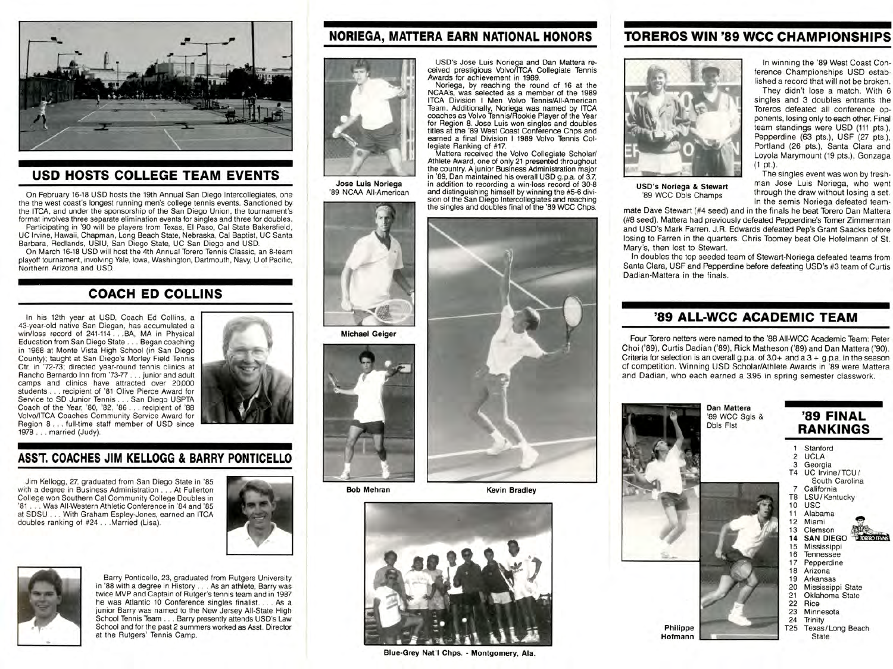

### **USO HOSTS COLLEGE TEAM EVENTS**

On February 16-18 USD hosts the 19th Annual San Diego lntercollegiates, one the the west coast's longest running men's college tennis events. Sanctioned by the ITCA, and under the sponsorship of the San Diego Union, the tournament's format involves three separate elimination events for singles and three for doubles. Participating in '90 will be players from Texas, El Paso, Cal State Bakersfield, UC Irvine, Hawaii, Chapman, Long Beach State, Nebraska, Cal Baptist, UC Santa Barbara, Redlands, USIU, San Diego State, UC San Diego and USD.

On March 16-18 USD will host the 4th Annual Torero Tennis Classic, an 8-team playoff tournament, involving Yale, Iowa, Washington, Dartmouth, Navy, U of Pacific, Northern Arizona and USD.

# **COACH ED COLLINS**

In his 12th year at USD, Coach Ed Collins, a 43-year-old native San Diegan, has accumulated a win/loss record of 241-114 . . . BA, MA in Physical Education from San Diego State ... Began coaching in 1968 at Monte Vista High School (in San Diego County); taught at San Diego's Morley Field Tennis Ctr. in '72-73; directed year-round tennis clinics at Rancho Bernardo Inn from '73-77 . .. junior and adult camps and clinics have attracted over 20,000 students . . . recipient of '81 Olive Pierce Award for Service to SD Junior Tennis ... San Diego USPTA Coach of the Year, '80, '82, '86 . . recipient of '88 Volvo/lTCA Coaches Community Service Award for Region 8 ... full-time staff member of USD since 1978 ... married (Judy).



## **ASST. COACHES JIM KELLOGG & BARRY PONTICELLO**

Jim Kellogg, 27, graduated from San Diego State in '85 with a degree in Business Administration ... At Fullerton College won Southern Cal Community College Doubles in '81 ... Was All-Western Athletic Conference in '84 and '85 at SDSU . . With Graham Espley-Jones, earned an ITCA doubles ranking of #24 . . . Married (Lisa).





Barry Ponticello, 23, graduated from Rutgers University in '88 with a degree in History ... As an athlete, Barry was twice MVP and Captain of Rutger's tennis team and in 1987 he was Atlantic 10 Conference singles finalist. ... As <sup>a</sup> junior Barry was named to the New Jersey All-State High School Tennis Team . . . Barry presently attends USD's Law School and for the past 2 summers worked as Asst. Director at the Rutgers' Tennis Camp.

# **NORIEGA, MATTERA EARN NATIONAL HONORS**



**Jose uiis Noriega**  '89 NCAA All-American



**Michael Geiger** 



**Bob Mehran** 

**Kevin Bradley** 



# **TOREROS WIN '89 wee CHAMPIONSHIPS**

USD's Jose Luis Noriega and Dan Mattera received prestigious Volvo/lTCA Collegiate Tennis Awards for achievement in 1989. Noriega, by reaching the round of 16 at the NCAA's, was selected as a member of the 1989 ITCA Division I Men Volvo Tennis/All-American Team. Additionally, Noriega was named by ITCA<br>coaches as Volvo Tennis/Rookie Player of the Year for Region 8. Jose Luis won singles and doubles titles at the '89 West Coast Conference Chps and

earned a final Division I 1989 Volvo Tennis Collegiate Ranking of #17. Mattera received the Volvo Collegiate Scholar/ Athlete Award, one of only 21 presented throughout the country. A junior Business Administration major in '89, Dan maintained his overall USD g.p.a. of 3.7, in addition to recording a win-loss record of 30-8 and distinguishing himself by winning the #5-6 division of the San Diego Intercollegiates and reaching the singles and doubles final of the '89 WCC Chps.



**USD's Noriega & Stewart**  '89 WCC Dbls Champs

In winning the '89 West Coast Conference Championships USD established a record that will not be broken

They didn't lose a match. With 6 singles and 3 doubles entrants the Toreros defeated all conference opponents, losing only to each other. Final team standings were USO (111 pts.), Pepperdine (63 pts.), USF (27 pts.), Portland (26 pts.), Santa Clara and Loyola Marymount (19 pts.), Gonzaga (1 pt.).

The singles event was won by freshman Jose Luis Noriega, who went through the draw without losing a set. In the semis Noriega defeated team-

mate Dave Stewart (#4 seed) and in the finals he beat Torero Dan Mattera (#8 seed). Mattera had previously defeated Pepperdine's Tomer Zimmerman and USD's Mark Farren. J.R. Edwards defeated Pep's Grant Saacks before losing to Farren in the quarters. Chris Toomey beat Ole Hofelmann of St. Mary's, then lost to Stewart.

In doubles the top seeded team of Stewart-Noriega defeated teams from Santa Clara, USF and Pepperdine before defeating USD's #3 team of Curtis Dadian-Mattera in the finals.

### **'89 ALL-WCC ACADEMIC TEAM**

Four Torero netters were named to the '88 AII-WCC Academic Team : Peter Choi ('89), Curtis Dadian ('89), Rick Matheson ('89) and Dan Mattera ('90). Criteria for selection is an overall g.p.a. of  $3.0+$  and a  $3+$  g.p.a. in the season of competition. Winning USD Scholar/Athlete Awards in '89 were Mattera and Dadian, who each earned a 3.95 in spring semester classwork.



**Blue-Grey Nat'I Chps. - Montgomery, Ala.**